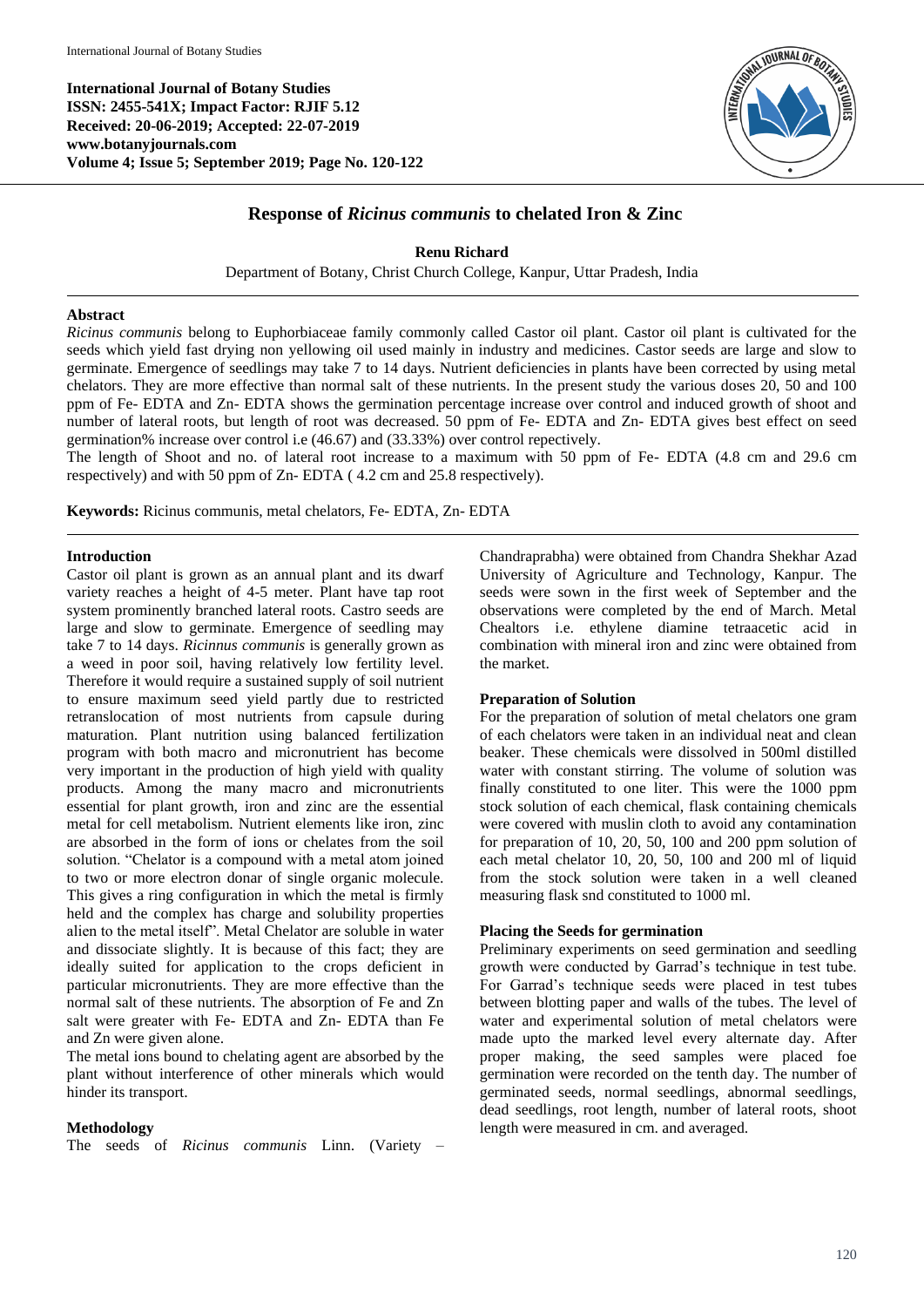**International Journal of Botany Studies ISSN: 2455-541X; Impact Factor: RJIF 5.12 Received: 20-06-2019; Accepted: 22-07-2019 www.botanyjournals.com Volume 4; Issue 5; September 2019; Page No. 120-122**



# **Response of** *Ricinus communis* **to chelated Iron & Zinc**

**Renu Richard**

Department of Botany, Christ Church College, Kanpur, Uttar Pradesh, India

### **Abstract**

*Ricinus communis* belong to Euphorbiaceae family commonly called Castor oil plant. Castor oil plant is cultivated for the seeds which yield fast drying non yellowing oil used mainly in industry and medicines. Castor seeds are large and slow to germinate. Emergence of seedlings may take 7 to 14 days. Nutrient deficiencies in plants have been corrected by using metal chelators. They are more effective than normal salt of these nutrients. In the present study the various doses 20, 50 and 100 ppm of Fe- EDTA and Zn- EDTA shows the germination percentage increase over control and induced growth of shoot and number of lateral roots, but length of root was decreased. 50 ppm of Fe- EDTA and Zn- EDTA gives best effect on seed germination% increase over control i.e (46.67) and (33.33%) over control repectively.

The length of Shoot and no. of lateral root increase to a maximum with 50 ppm of Fe- EDTA (4.8 cm and 29.6 cm respectively) and with 50 ppm of Zn- EDTA ( 4.2 cm and 25.8 respectively).

**Keywords:** Ricinus communis, metal chelators, Fe- EDTA, Zn- EDTA

## **Introduction**

Castor oil plant is grown as an annual plant and its dwarf variety reaches a height of 4-5 meter. Plant have tap root system prominently branched lateral roots. Castro seeds are large and slow to germinate. Emergence of seedling may take 7 to 14 days. *Ricinnus communis* is generally grown as a weed in poor soil, having relatively low fertility level. Therefore it would require a sustained supply of soil nutrient to ensure maximum seed yield partly due to restricted retranslocation of most nutrients from capsule during maturation. Plant nutrition using balanced fertilization program with both macro and micronutrient has become very important in the production of high yield with quality products. Among the many macro and micronutrients essential for plant growth, iron and zinc are the essential metal for cell metabolism. Nutrient elements like iron, zinc are absorbed in the form of ions or chelates from the soil solution. "Chelator is a compound with a metal atom joined to two or more electron donar of single organic molecule. This gives a ring configuration in which the metal is firmly held and the complex has charge and solubility properties alien to the metal itself". Metal Chelator are soluble in water and dissociate slightly. It is because of this fact; they are ideally suited for application to the crops deficient in particular micronutrients. They are more effective than the normal salt of these nutrients. The absorption of Fe and Zn salt were greater with Fe- EDTA and Zn- EDTA than Fe and Zn were given alone.

The metal ions bound to chelating agent are absorbed by the plant without interference of other minerals which would hinder its transport.

## **Methodology**

The seeds of *Ricinus communis* Linn. (Variety –

Chandraprabha) were obtained from Chandra Shekhar Azad University of Agriculture and Technology, Kanpur. The seeds were sown in the first week of September and the observations were completed by the end of March. Metal Chealtors i.e. ethylene diamine tetraacetic acid in combination with mineral iron and zinc were obtained from the market.

#### **Preparation of Solution**

For the preparation of solution of metal chelators one gram of each chelators were taken in an individual neat and clean beaker. These chemicals were dissolved in 500ml distilled water with constant stirring. The volume of solution was finally constituted to one liter. This were the 1000 ppm stock solution of each chemical, flask containing chemicals were covered with muslin cloth to avoid any contamination for preparation of 10, 20, 50, 100 and 200 ppm solution of each metal chelator 10, 20, 50, 100 and 200 ml of liquid from the stock solution were taken in a well cleaned measuring flask snd constituted to 1000 ml.

## **Placing the Seeds for germination**

Preliminary experiments on seed germination and seedling growth were conducted by Garrad's technique in test tube. For Garrad's technique seeds were placed in test tubes between blotting paper and walls of the tubes. The level of water and experimental solution of metal chelators were made upto the marked level every alternate day. After proper making, the seed samples were placed foe germination were recorded on the tenth day. The number of germinated seeds, normal seedlings, abnormal seedlings, dead seedlings, root length, number of lateral roots, shoot length were measured in cm. and averaged.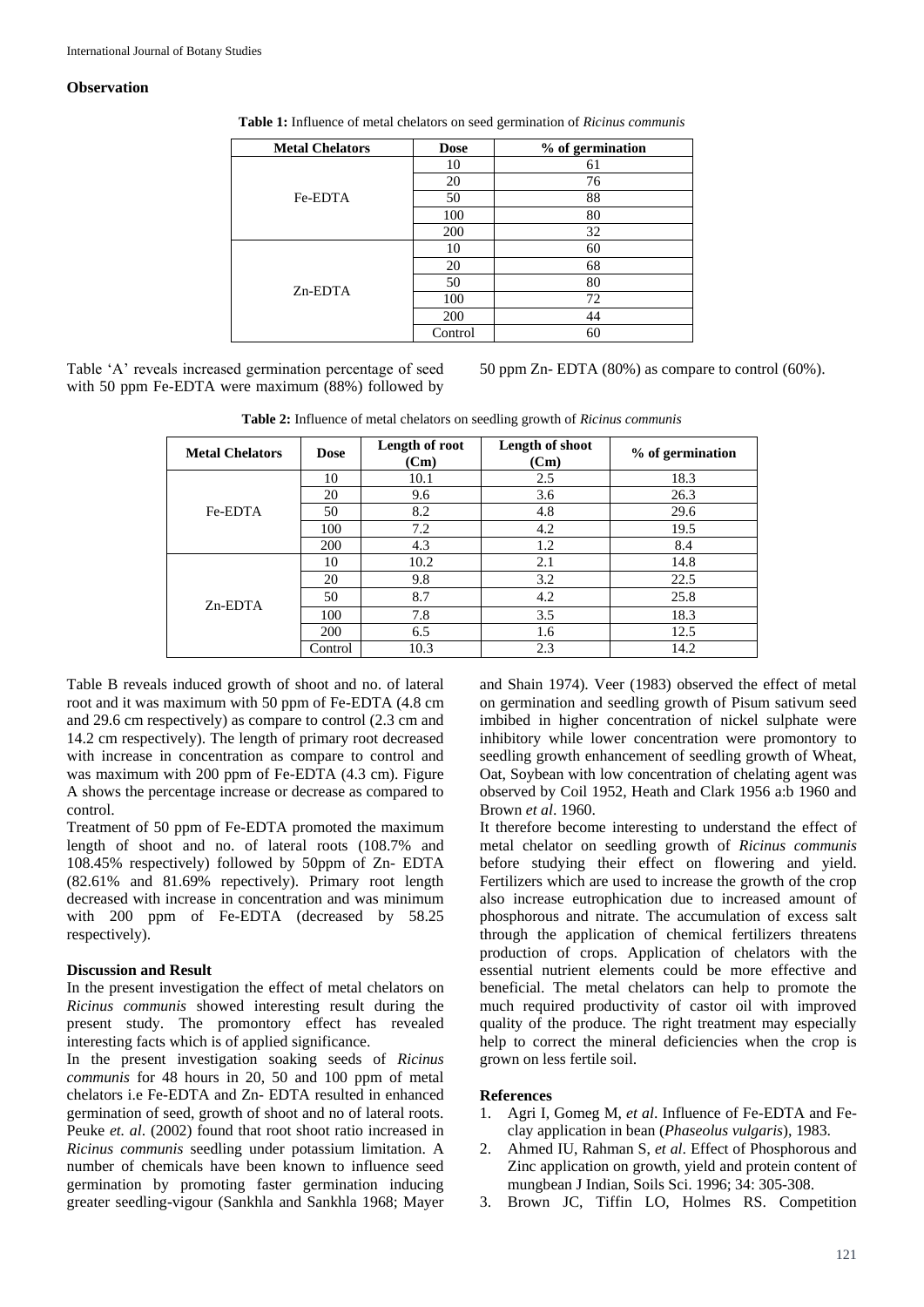#### **Observation**

| <b>Metal Chelators</b> | <b>Dose</b> | % of germination |
|------------------------|-------------|------------------|
| Fe-EDTA                | 10          | 61               |
|                        | 20          | 76               |
|                        | 50          | 88               |
|                        | 100         | 80               |
|                        | 200         | 32               |
| $Zn$ -EDTA             | 10          | 60               |
|                        | 20          | 68               |
|                        | 50          | 80               |
|                        | 100         | 72               |
|                        | 200         | 44               |
|                        | Control     | 60               |

**Table 1:** Influence of metal chelators on seed germination of *Ricinus communis*

Table 'A' reveals increased germination percentage of seed with 50 ppm Fe-EDTA were maximum (88%) followed by

50 ppm Zn- EDTA (80%) as compare to control (60%).

**Table 2:** Influence of metal chelators on seedling growth of *Ricinus communis*

| <b>Metal Chelators</b> | <b>Dose</b> | Length of root<br>(Cm) | Length of shoot<br>(Cm) | % of germination |
|------------------------|-------------|------------------------|-------------------------|------------------|
| Fe-EDTA                | 10          | 10.1                   | 2.5                     | 18.3             |
|                        | 20          | 9.6                    | 3.6                     | 26.3             |
|                        | 50          | 8.2                    | 4.8                     | 29.6             |
|                        | 100         | 7.2                    | 4.2                     | 19.5             |
|                        | 200         | 4.3                    | 1.2                     | 8.4              |
| $Zn$ -EDTA             | 10          | 10.2                   | 2.1                     | 14.8             |
|                        | 20          | 9.8                    | 3.2                     | 22.5             |
|                        | 50          | 8.7                    | 4.2                     | 25.8             |
|                        | 100         | 7.8                    | 3.5                     | 18.3             |
|                        | 200         | 6.5                    | 1.6                     | 12.5             |
|                        | Control     | 10.3                   | 2.3                     | 14.2             |

Table B reveals induced growth of shoot and no. of lateral root and it was maximum with 50 ppm of Fe-EDTA (4.8 cm and 29.6 cm respectively) as compare to control (2.3 cm and 14.2 cm respectively). The length of primary root decreased with increase in concentration as compare to control and was maximum with 200 ppm of Fe-EDTA (4.3 cm). Figure A shows the percentage increase or decrease as compared to control.

Treatment of 50 ppm of Fe-EDTA promoted the maximum length of shoot and no. of lateral roots (108.7% and 108.45% respectively) followed by 50ppm of Zn- EDTA (82.61% and 81.69% repectively). Primary root length decreased with increase in concentration and was minimum with 200 ppm of Fe-EDTA (decreased by 58.25 respectively).

#### **Discussion and Result**

In the present investigation the effect of metal chelators on *Ricinus communis* showed interesting result during the present study. The promontory effect has revealed interesting facts which is of applied significance.

In the present investigation soaking seeds of *Ricinus communis* for 48 hours in 20, 50 and 100 ppm of metal chelators i.e Fe-EDTA and Zn- EDTA resulted in enhanced germination of seed, growth of shoot and no of lateral roots. Peuke *et. al*. (2002) found that root shoot ratio increased in *Ricinus communis* seedling under potassium limitation. A number of chemicals have been known to influence seed germination by promoting faster germination inducing greater seedling-vigour (Sankhla and Sankhla 1968; Mayer

and Shain 1974). Veer (1983) observed the effect of metal on germination and seedling growth of Pisum sativum seed imbibed in higher concentration of nickel sulphate were inhibitory while lower concentration were promontory to seedling growth enhancement of seedling growth of Wheat, Oat, Soybean with low concentration of chelating agent was observed by Coil 1952, Heath and Clark 1956 a:b 1960 and Brown *et al*. 1960.

It therefore become interesting to understand the effect of metal chelator on seedling growth of *Ricinus communis* before studying their effect on flowering and yield. Fertilizers which are used to increase the growth of the crop also increase eutrophication due to increased amount of phosphorous and nitrate. The accumulation of excess salt through the application of chemical fertilizers threatens production of crops. Application of chelators with the essential nutrient elements could be more effective and beneficial. The metal chelators can help to promote the much required productivity of castor oil with improved quality of the produce. The right treatment may especially help to correct the mineral deficiencies when the crop is grown on less fertile soil.

#### **References**

- 1. Agri I, Gomeg M, *et al*. Influence of Fe-EDTA and Feclay application in bean (*Phaseolus vulgaris*), 1983.
- 2. Ahmed IU, Rahman S, *et al*. Effect of Phosphorous and Zinc application on growth, yield and protein content of mungbean J Indian, Soils Sci. 1996; 34: 305-308.
- 3. Brown JC, Tiffin LO, Holmes RS. Competition